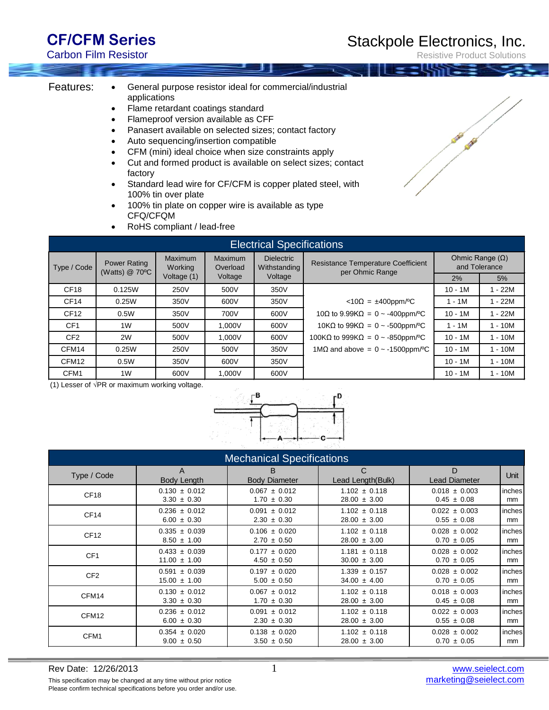## **CF/CFM Series**

Carbon Film Resistor

Resistive Product Solutions

- Features: General purpose resistor ideal for commercial/industrial applications
	- Flame retardant coatings standard
	- Flameproof version available as CFF
	- Panasert available on selected sizes; contact factory
	- Auto sequencing/insertion compatible
	- CFM (mini) ideal choice when size constraints apply
	- Cut and formed product is available on select sizes; contact factory
	- Standard lead wire for CF/CFM is copper plated steel, with 100% tin over plate
	- 100% tin plate on copper wire is available as type CFQ/CFQM
	- RoHS compliant / lead-free

| <b>Electrical Specifications</b> |                                       |                                          |                                |                                              |                                                              |                                         |         |  |
|----------------------------------|---------------------------------------|------------------------------------------|--------------------------------|----------------------------------------------|--------------------------------------------------------------|-----------------------------------------|---------|--|
| Type / Code                      | <b>Power Rating</b><br>(Watts) @ 70°C | <b>Maximum</b><br>Working<br>Voltage (1) | Maximum<br>Overload<br>Voltage | <b>Dielectric</b><br>Withstanding<br>Voltage | <b>Resistance Temperature Coefficient</b><br>per Ohmic Range | Ohmic Range $(\Omega)$<br>and Tolerance |         |  |
|                                  |                                       |                                          |                                |                                              |                                                              | 2%                                      | 5%      |  |
| CF <sub>18</sub>                 | 0.125W                                | 250V                                     | 500V                           | 350V                                         |                                                              | $10 - 1M$                               | $-22M$  |  |
| CF <sub>14</sub>                 | 0.25W                                 | 350V                                     | 600V                           | 350V                                         | $<10\Omega = \pm 400$ ppm/°C                                 | $1 - 1M$                                | $-22M$  |  |
| CF <sub>12</sub>                 | 0.5W                                  | 350V                                     | 700V                           | 600V                                         | 10 $\Omega$ to 9.99K $\Omega = 0$ ~ -400ppm/°C               | $10 - 1M$                               | $-22M$  |  |
| CF <sub>1</sub>                  | 1W                                    | 500V                                     | 1.000V                         | 600V                                         | 10K $\Omega$ to 99K $\Omega = 0 \sim 500$ ppm/°C             | $1 - 1M$                                | $-10M$  |  |
| CF <sub>2</sub>                  | 2W                                    | 500V                                     | 1.000V                         | 600V                                         | 100KQ to 999KQ = $0 \sim -850$ ppm/°C                        | $10 - 1M$                               | $-10M$  |  |
| CFM14                            | 0.25W                                 | 250V                                     | 500V                           | 350V                                         | $1\text{M}\Omega$ and above = 0 ~ -1500ppm/°C                | $10 - 1M$                               | l - 10M |  |
| CFM <sub>12</sub>                | 0.5W                                  | 350V                                     | 600V                           | 350V                                         |                                                              | $10 - 1M$                               | 1 - 10M |  |
| CFM1                             | 1W                                    | 600V                                     | 1.000V                         | 600V                                         |                                                              | $10 - 1M$                               | $-10M$  |  |

(1) Lesser of √PR or maximum working voltage.



| <b>Mechanical Specifications</b> |                         |                           |                                   |                           |        |  |  |
|----------------------------------|-------------------------|---------------------------|-----------------------------------|---------------------------|--------|--|--|
| Type / Code                      | A<br><b>Body Length</b> | B<br><b>Body Diameter</b> | $\mathsf{C}$<br>Lead Length(Bulk) | D<br><b>Lead Diameter</b> | Unit   |  |  |
| CF <sub>18</sub>                 | $0.130 \pm 0.012$       | $0.067 \pm 0.012$         | $1.102 \pm 0.118$                 | $0.018 \pm 0.003$         | inches |  |  |
|                                  | $3.30 \pm 0.30$         | $1.70 \pm 0.30$           | $28.00 \pm 3.00$                  | $0.45 \pm 0.08$           | mm     |  |  |
| CF <sub>14</sub>                 | $0.236 \pm 0.012$       | $0.091 \pm 0.012$         | $1.102 \pm 0.118$                 | $0.022 \pm 0.003$         | inches |  |  |
|                                  | $6.00 \pm 0.30$         | $2.30 \pm 0.30$           | $28.00 \pm 3.00$                  | $0.55 \pm 0.08$           | mm     |  |  |
| CF <sub>12</sub>                 | $0.335 \pm 0.039$       | $0.106 \pm 0.020$         | $1.102 \pm 0.118$                 | $0.028 \pm 0.002$         | inches |  |  |
|                                  | $8.50 \pm 1.00$         | $2.70 \pm 0.50$           | $28.00 \pm 3.00$                  | $0.70 \pm 0.05$           | mm     |  |  |
| CF <sub>1</sub>                  | $0.433 \pm 0.039$       | $0.177 \pm 0.020$         | $1.181 \pm 0.118$                 | $0.028 \pm 0.002$         | inches |  |  |
|                                  | $11.00 \pm 1.00$        | $4.50 \pm 0.50$           | $30.00 \pm 3.00$                  | $0.70 \pm 0.05$           | mm     |  |  |
| CF <sub>2</sub>                  | $0.591 \pm 0.039$       | $0.197 \pm 0.020$         | $1.339 \pm 0.157$                 | $0.028 \pm 0.002$         | inches |  |  |
|                                  | $15.00 \pm 1.00$        | $5.00 \pm 0.50$           | $34.00 \pm 4.00$                  | $0.70 \pm 0.05$           | mm     |  |  |
| CFM14                            | $0.130 \pm 0.012$       | $0.067 \pm 0.012$         | $1.102 \pm 0.118$                 | $0.018 \pm 0.003$         | inches |  |  |
|                                  | $3.30 \pm 0.30$         | $1.70 \pm 0.30$           | $28.00 \pm 3.00$                  | $0.45 \pm 0.08$           | mm     |  |  |
| CFM <sub>12</sub>                | $0.236 \pm 0.012$       | $0.091 \pm 0.012$         | $1.102 \pm 0.118$                 | $0.022 \pm 0.003$         | inches |  |  |
|                                  | $6.00 \pm 0.30$         | $2.30 \pm 0.30$           | $28.00 \pm 3.00$                  | $0.55 \pm 0.08$           | mm     |  |  |
| CFM1                             | $0.354 \pm 0.020$       | $0.138 \pm 0.020$         | $1.102 \pm 0.118$                 | $0.028 \pm 0.002$         | inches |  |  |
|                                  | $9.00 \pm 0.50$         | $3.50 \pm 0.50$           | $28.00 \pm 3.00$                  | $0.70 \pm 0.05$           | mm     |  |  |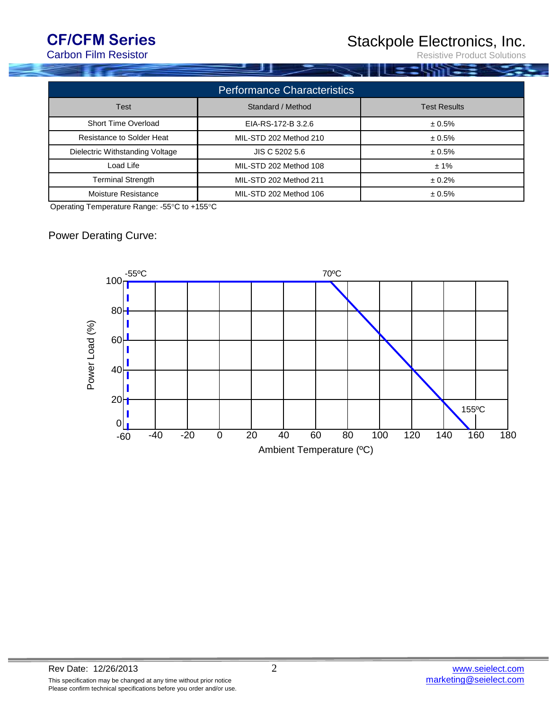# **CF/CFM Series**

Carbon Film Resistor

. I LSTT

Resistive Product Solutions

| <b>Performance Characteristics</b> |                        |                     |  |  |  |  |
|------------------------------------|------------------------|---------------------|--|--|--|--|
| <b>Test</b>                        | Standard / Method      | <b>Test Results</b> |  |  |  |  |
| <b>Short Time Overload</b>         | EIA-RS-172-B 3.2.6     | ± 0.5%              |  |  |  |  |
| <b>Resistance to Solder Heat</b>   | MIL-STD 202 Method 210 | ± 0.5%              |  |  |  |  |
| Dielectric Withstanding Voltage    | JIS C 5202 5.6         | ± 0.5%              |  |  |  |  |
| Load Life                          | MIL-STD 202 Method 108 | ±1%                 |  |  |  |  |
| <b>Terminal Strength</b>           | MIL-STD 202 Method 211 | ± 0.2%              |  |  |  |  |
| <b>Moisture Resistance</b>         | MIL-STD 202 Method 106 | ± 0.5%              |  |  |  |  |

Operating Temperature Range: -55°C to +155°C

### Power Derating Curve: